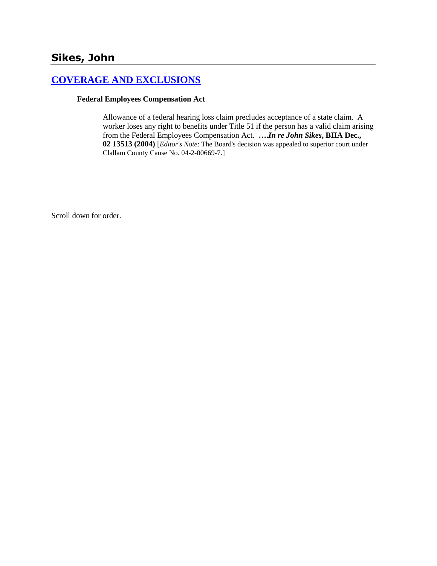## **[COVERAGE AND EXCLUSIONS](http://www.biia.wa.gov/SDSubjectIndex.html#COVERAGE_AND_EXCLUSIONS)**

#### **Federal Employees Compensation Act**

Allowance of a federal hearing loss claim precludes acceptance of a state claim. A worker loses any right to benefits under Title 51 if the person has a valid claim arising from the Federal Employees Compensation Act. **….***In re John Sikes***, BIIA Dec., 02 13513 (2004)** [*Editor's Note*: The Board's decision was appealed to superior court under Clallam County Cause No. 04-2-00669-7.]

Scroll down for order.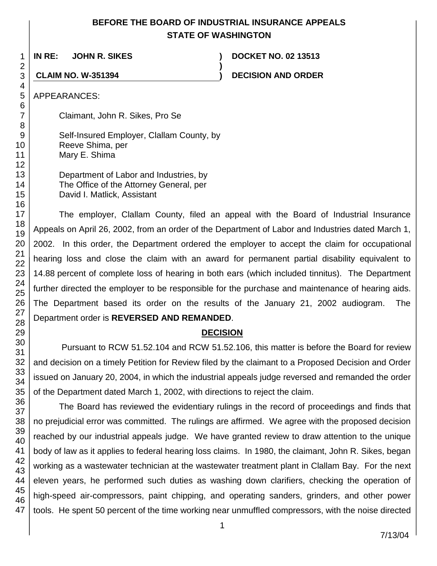## **BEFORE THE BOARD OF INDUSTRIAL INSURANCE APPEALS STATE OF WASHINGTON**

**)**

**IN RE: JOHN R. SIKES ) DOCKET NO. 02 13513**

**CLAIM NO. W-351394 ) DECISION AND ORDER**

APPEARANCES:

Claimant, John R. Sikes, Pro Se

Self-Insured Employer, Clallam County, by Reeve Shima, per Mary E. Shima

Department of Labor and Industries, by The Office of the Attorney General, per David I. Matlick, Assistant

The employer, Clallam County, filed an appeal with the Board of Industrial Insurance Appeals on April 26, 2002, from an order of the Department of Labor and Industries dated March 1, 2002. In this order, the Department ordered the employer to accept the claim for occupational hearing loss and close the claim with an award for permanent partial disability equivalent to 14.88 percent of complete loss of hearing in both ears (which included tinnitus). The Department further directed the employer to be responsible for the purchase and maintenance of hearing aids. The Department based its order on the results of the January 21, 2002 audiogram. The Department order is **REVERSED AND REMANDED**.

# **DECISION**

Pursuant to RCW 51.52.104 and RCW 51.52.106, this matter is before the Board for review and decision on a timely Petition for Review filed by the claimant to a Proposed Decision and Order issued on January 20, 2004, in which the industrial appeals judge reversed and remanded the order of the Department dated March 1, 2002, with directions to reject the claim.

The Board has reviewed the evidentiary rulings in the record of proceedings and finds that no prejudicial error was committed. The rulings are affirmed. We agree with the proposed decision reached by our industrial appeals judge. We have granted review to draw attention to the unique body of law as it applies to federal hearing loss claims. In 1980, the claimant, John R. Sikes, began working as a wastewater technician at the wastewater treatment plant in Clallam Bay. For the next eleven years, he performed such duties as washing down clarifiers, checking the operation of high-speed air-compressors, paint chipping, and operating sanders, grinders, and other power tools. He spent 50 percent of the time working near unmuffled compressors, with the noise directed

1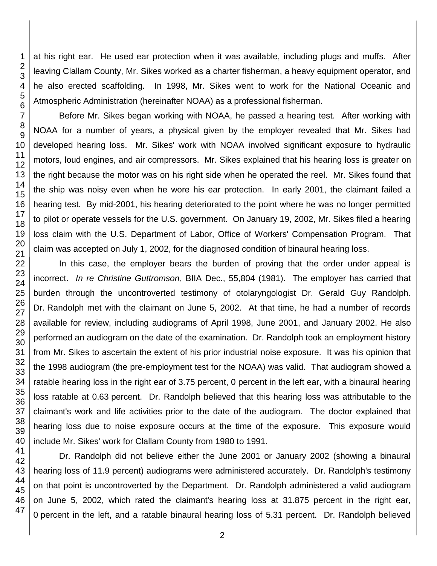at his right ear. He used ear protection when it was available, including plugs and muffs. After leaving Clallam County, Mr. Sikes worked as a charter fisherman, a heavy equipment operator, and he also erected scaffolding. In 1998, Mr. Sikes went to work for the National Oceanic and Atmospheric Administration (hereinafter NOAA) as a professional fisherman.

Before Mr. Sikes began working with NOAA, he passed a hearing test. After working with NOAA for a number of years, a physical given by the employer revealed that Mr. Sikes had developed hearing loss. Mr. Sikes' work with NOAA involved significant exposure to hydraulic motors, loud engines, and air compressors. Mr. Sikes explained that his hearing loss is greater on the right because the motor was on his right side when he operated the reel. Mr. Sikes found that the ship was noisy even when he wore his ear protection. In early 2001, the claimant failed a hearing test. By mid-2001, his hearing deteriorated to the point where he was no longer permitted to pilot or operate vessels for the U.S. government. On January 19, 2002, Mr. Sikes filed a hearing loss claim with the U.S. Department of Labor, Office of Workers' Compensation Program. That claim was accepted on July 1, 2002, for the diagnosed condition of binaural hearing loss.

In this case, the employer bears the burden of proving that the order under appeal is incorrect. *In re Christine Guttromson*, BIIA Dec., 55,804 (1981). The employer has carried that burden through the uncontroverted testimony of otolaryngologist Dr. Gerald Guy Randolph. Dr. Randolph met with the claimant on June 5, 2002. At that time, he had a number of records available for review, including audiograms of April 1998, June 2001, and January 2002. He also performed an audiogram on the date of the examination. Dr. Randolph took an employment history from Mr. Sikes to ascertain the extent of his prior industrial noise exposure. It was his opinion that the 1998 audiogram (the pre-employment test for the NOAA) was valid. That audiogram showed a ratable hearing loss in the right ear of 3.75 percent, 0 percent in the left ear, with a binaural hearing loss ratable at 0.63 percent. Dr. Randolph believed that this hearing loss was attributable to the claimant's work and life activities prior to the date of the audiogram. The doctor explained that hearing loss due to noise exposure occurs at the time of the exposure. This exposure would include Mr. Sikes' work for Clallam County from 1980 to 1991.

Dr. Randolph did not believe either the June 2001 or January 2002 (showing a binaural hearing loss of 11.9 percent) audiograms were administered accurately. Dr. Randolph's testimony on that point is uncontroverted by the Department. Dr. Randolph administered a valid audiogram on June 5, 2002, which rated the claimant's hearing loss at 31.875 percent in the right ear, percent in the left, and a ratable binaural hearing loss of 5.31 percent. Dr. Randolph believed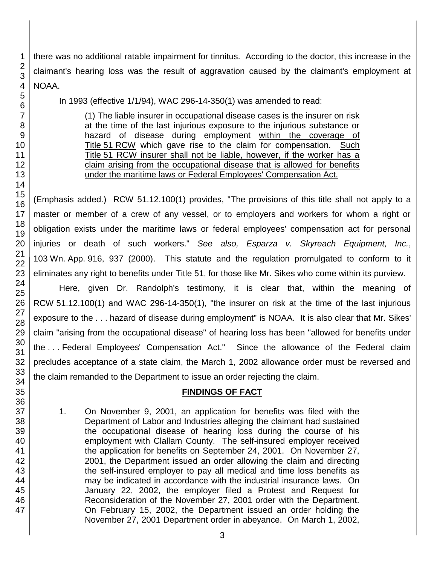there was no additional ratable impairment for tinnitus. According to the doctor, this increase in the claimant's hearing loss was the result of aggravation caused by the claimant's employment at NOAA.

In 1993 (effective 1/1/94), WAC 296-14-350(1) was amended to read:

(1) The liable insurer in occupational disease cases is the insurer on risk at the time of the last injurious exposure to the injurious substance or hazard of disease during employment within the coverage of Title 51 RCW which gave rise to the claim for compensation. Such Title 51 RCW insurer shall not be liable, however, if the worker has a claim arising from the occupational disease that is allowed for benefits under the maritime laws or Federal Employees' Compensation Act.

(Emphasis added.) RCW 51.12.100(1) provides, "The provisions of this title shall not apply to a master or member of a crew of any vessel, or to employers and workers for whom a right or obligation exists under the maritime laws or federal employees' compensation act for personal injuries or death of such workers." *See also, Esparza v. Skyreach Equipment, Inc.*, 103 Wn. App. 916, 937 (2000). This statute and the regulation promulgated to conform to it eliminates any right to benefits under Title 51, for those like Mr. Sikes who come within its purview.

Here, given Dr. Randolph's testimony, it is clear that, within the meaning of RCW 51.12.100(1) and WAC 296-14-350(1), "the insurer on risk at the time of the last injurious exposure to the . . . hazard of disease during employment" is NOAA. It is also clear that Mr. Sikes' claim "arising from the occupational disease" of hearing loss has been "allowed for benefits under the . . . Federal Employees' Compensation Act." Since the allowance of the Federal claim precludes acceptance of a state claim, the March 1, 2002 allowance order must be reversed and the claim remanded to the Department to issue an order rejecting the claim.

## **FINDINGS OF FACT**

1. On November 9, 2001, an application for benefits was filed with the Department of Labor and Industries alleging the claimant had sustained the occupational disease of hearing loss during the course of his employment with Clallam County. The self-insured employer received the application for benefits on September 24, 2001. On November 27, 2001, the Department issued an order allowing the claim and directing the self-insured employer to pay all medical and time loss benefits as may be indicated in accordance with the industrial insurance laws. On January 22, 2002, the employer filed a Protest and Request for Reconsideration of the November 27, 2001 order with the Department. On February 15, 2002, the Department issued an order holding the November 27, 2001 Department order in abeyance. On March 1, 2002,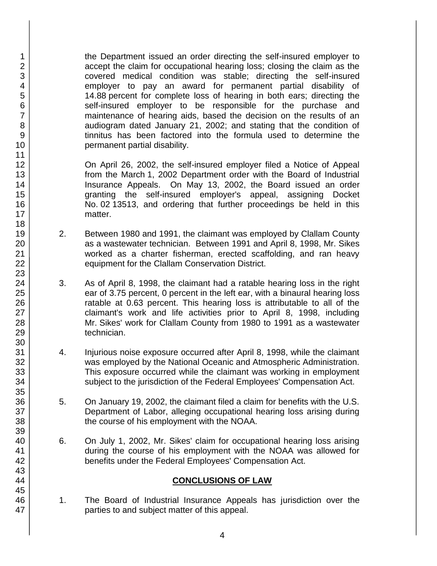the Department issued an order directing the self-insured employer to accept the claim for occupational hearing loss; closing the claim as the covered medical condition was stable; directing the self-insured employer to pay an award for permanent partial disability of 14.88 percent for complete loss of hearing in both ears; directing the self-insured employer to be responsible for the purchase and maintenance of hearing aids, based the decision on the results of an audiogram dated January 21, 2002; and stating that the condition of tinnitus has been factored into the formula used to determine the permanent partial disability.

On April 26, 2002, the self-insured employer filed a Notice of Appeal from the March 1, 2002 Department order with the Board of Industrial Insurance Appeals. On May 13, 2002, the Board issued an order granting the self-insured employer's appeal, assigning Docket No. 02 13513, and ordering that further proceedings be held in this matter.

- 2. Between 1980 and 1991, the claimant was employed by Clallam County as a wastewater technician. Between 1991 and April 8, 1998, Mr. Sikes worked as a charter fisherman, erected scaffolding, and ran heavy equipment for the Clallam Conservation District.
- 3. As of April 8, 1998, the claimant had a ratable hearing loss in the right ear of 3.75 percent, 0 percent in the left ear, with a binaural hearing loss ratable at 0.63 percent. This hearing loss is attributable to all of the claimant's work and life activities prior to April 8, 1998, including Mr. Sikes' work for Clallam County from 1980 to 1991 as a wastewater technician.
- 4. Injurious noise exposure occurred after April 8, 1998, while the claimant was employed by the National Oceanic and Atmospheric Administration. This exposure occurred while the claimant was working in employment subject to the jurisdiction of the Federal Employees' Compensation Act.
- 5. On January 19, 2002, the claimant filed a claim for benefits with the U.S. Department of Labor, alleging occupational hearing loss arising during the course of his employment with the NOAA.
- 6. On July 1, 2002, Mr. Sikes' claim for occupational hearing loss arising during the course of his employment with the NOAA was allowed for benefits under the Federal Employees' Compensation Act.

### **CONCLUSIONS OF LAW**

1. The Board of Industrial Insurance Appeals has jurisdiction over the parties to and subject matter of this appeal.